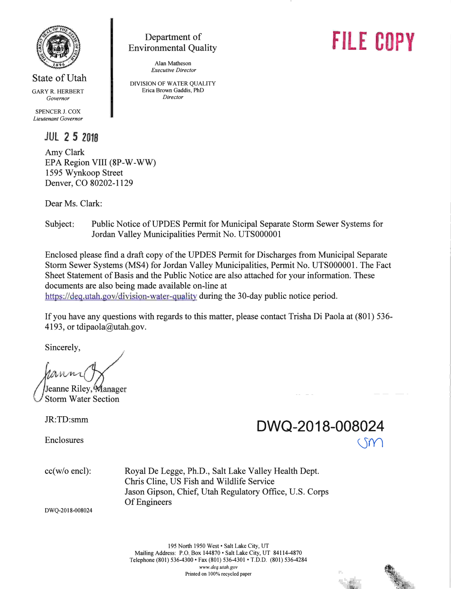

State of Utah GARY R. HERBERT

Governor

SPENCER J. COX Lieutenant Governor

### **JUL 2 5 2018**

Amy Clark EPA Region VIII (8P-W-WW) 1595 Wynkoop Street Denver, CO 80202-1129

Dear Ms. Clark:

## Subject: Public Notice of UPDES Permit for Municipal Separate Storm Sewer Systems for Jordan Valley Municipalities Permit No. UTS000001

Enclosed please find a draft copy of the UPDES Permit for Discharges from Municipal Separate Storm Sewer Systems (MS4) for Jordan Valley Municipalities, Permit No. UTS000001. The Fact Sheet Statement of Basis and the Public Notice are also attached for your information. These documents are also being made available on-line at https://deq.utah.gov/division-water-quality during the 30-day public notice period.

If you have any questions with regards to this matter, please contact Trisha Di Paola at (801) 536 4193, or tdipaola@utah. gov.

Sincerely,

Jeanne Riley, Manager Storm Water Section

Enclosures

# **JR:TD:smm** DWQ-2018-008024  $\zeta$

cc(w/o encl): Royal De Legge, Ph.D., Salt Lake Valley Health Dept. Chris Cline, IJS Fish and Wildlife Service Jason Gipson, Chief, Utah Regulatory Office, U.S. Corps Of Engineers

DWQ-2018-008024

195 North 1950 West . Salt Lake City, UT Mailing Address: P.O. Box 144870 · Salt Lake City, UT 84114-4870 Telephone (801) 536-4300 · Fax (801) 536-4301 · T.D.D. (801) 536-4284 www.deq.utah.gov Printed on 100% recycled paper



# **FILE COPY**

DIVISION OF WATER QUALITY Erica Brown Gaddis, PhD Director

Alan Matheson Executive Director

Department of Environmental Quality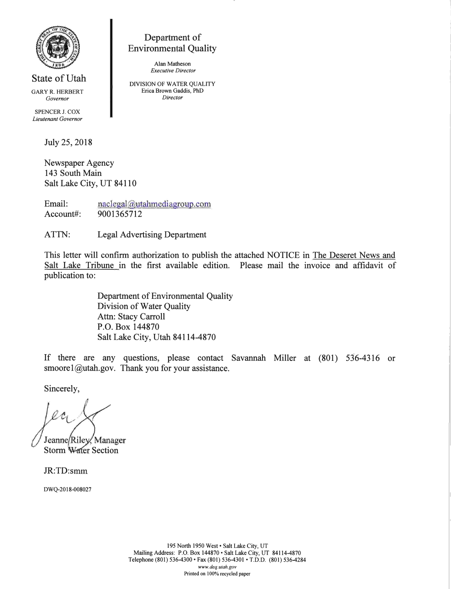

State of Utah GARY R. HERBERT

Governor

SPENCER J. COX Lieutenant Governor

July 25, 2018

Newspaper Agency 143 South Main Salt Lake City, UT 84110

Email: naclegal@utahmediagroup.com Account#: 9001365712

ATTN: Legal Advertising Department

This letter will confirm authorization to publish the attached NOTICE in The Deseret News and Sdt Lake Tribune in the first available edition. Please mail the invoice and affidavit of publication to:

> Department of Environmental Quality Division of Water Quality Attn: Stacy Carroll P.O. Box 144870 Salt Lake City, Utah 84114-4870

Department of **Environmental Quality** 

Alan Matheson Executive Director DIVISION OF WATER QUALITY Erica Brown Gaddis, PhD Director

If there are any questions, please contact Savannah Miller at (801) 536-4316 or  $smooth.gov$ . Thank you for your assistance.

Sincerely,

Storm Water Section Jeanne/Riley/Manager

JR:TD:s

DWQ-2018-008027

195 North 1950 West . Salt Lake City, UT Mailing Address: P.O. Box 144870 . Salt Lake City, UT 84114-4870 Telephone (801) 536-4300 · Fax (801) 536-4301 · T.D.D. (801) 536-4284 www.deq.utah.gov Printed on 100% recycled paper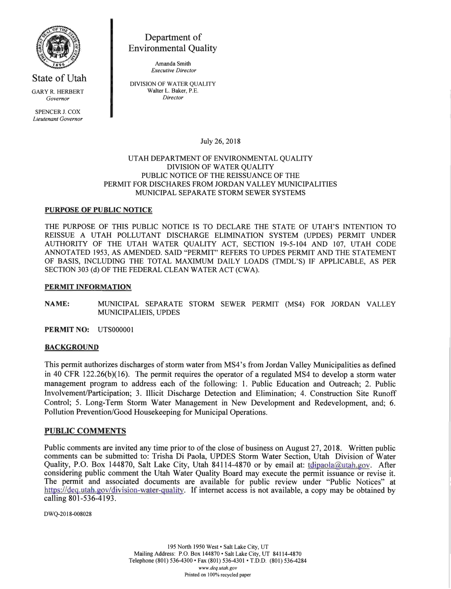

State of Utah GARY R. HERBERT Governor

SPENCER J. COX Lieutenant Governor

Department of Environmental Quality

> Amanda Smith Executive Director

DIVISION OF WATER QUALITY Walter L. Baker, P.E. Director

July 26,2018

#### UTAH DEPARTMENT OF ENVIRONMENTAL QUALITY DIVISION OF WATER QUALITY PUBLIC NOTICE OF THE REISSUANCE OF THE PERMIT FOR DISCHARES FROM JORDAN VALLEY MUNICIPALITIES MUNICIPAL SEPARATE STORM SEWER SYSTEMS

#### PURPOSE OF PUBLIC NOTICE

THE PURPOSE OF THIS PUBLIC NOTICE IS TO DECLARE THE STATE OF UTAH'S INTENTION TO REISSUE A UTAH POLLUTANT DISCHARGE ELIMINATION SYSTEM (UPDES) PERMIT UNDER AUTHORITY OF THE UTAH WATER QUALITY ACT, SECTION 19-5-104 AND 107, UTAH CODE ANNOTATED 1953, AS AMENDED. SAID "PERMIT" REFERS TO UPDES PERMIT AND THE STATEMENT OF BASIS, INCLUDING THE TOTAL MAXIMUM DAILY LOADS (TMDL'S) IF APPLICABLE, AS PER SECTION 303 (d) OF THE FEDERAL CLEAN WATER ACT (CWA).

#### PERMIT INFORMATION

NAME: MUNICIPAL SEPARATE STORM SEWER PERMIT (MS4) FOR JORDAN VALLEY MUNICIPALIEIS, UPDES

PERMIT NO: UTS000001

#### **BACKGROUND**

This permit authorizes discharges of storm water from MS4's from Jordan Valley Municipalities as defined in 40 CFR 122.26(b)(16). The permit requires the operator of a regulated MS4 to develop a storm water management program to address each of the following: 1. Public Education and Outreach; 2. Public Involvement/Participation; 3. Illicit Discharge Detection and Elimination; 4. Construction Site Runoff Control; 5. Long-Term Storm Water Management in New Development and Redevelopment, and; 6. Pollution Prevention/Good Housekeeping for Municipal Operations.

#### PUBLIC COMMENTS

Public comments are invited any time prior to of the close of business on August 27, 2018. Written public comments can be submitted to: Trisha Di Paola, UPDES Storm Water Section, Utah Division of Water Quality, P.O. Box 144870, Salt Lake City, Utah 84114-4870 or by email at: tdipaola@utah.gov. After considering public comment the Utah Water Quality Board may execute the permit issuance or revise it. The permit and associated documents are available for public review under "Public Notices" at https://deq.utah.gov/division-water-quality. If internet access is not available, a copy may be obtained by calling  $801-536-4193$ .

DWQ-2018-008028